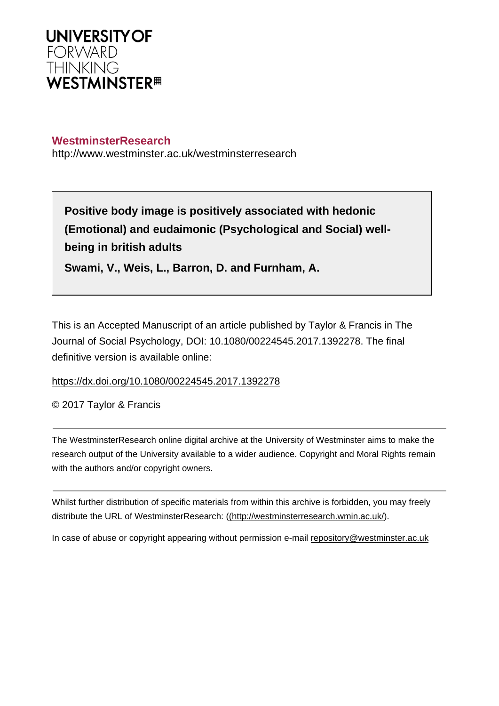

## **WestminsterResearch**

http://www.westminster.ac.uk/westminsterresearch

**Positive body image is positively associated with hedonic (Emotional) and eudaimonic (Psychological and Social) wellbeing in british adults**

**Swami, V., Weis, L., Barron, D. and Furnham, A.**

This is an Accepted Manuscript of an article published by Taylor & Francis in The Journal of Social Psychology, DOI: 10.1080/00224545.2017.1392278. The final definitive version is available online:

<https://dx.doi.org/10.1080/00224545.2017.1392278>

© 2017 Taylor & Francis

The WestminsterResearch online digital archive at the University of Westminster aims to make the research output of the University available to a wider audience. Copyright and Moral Rights remain with the authors and/or copyright owners.

Whilst further distribution of specific materials from within this archive is forbidden, you may freely distribute the URL of WestminsterResearch: [\(\(http://westminsterresearch.wmin.ac.uk/](http://westminsterresearch.wmin.ac.uk/)).

In case of abuse or copyright appearing without permission e-mail <repository@westminster.ac.uk>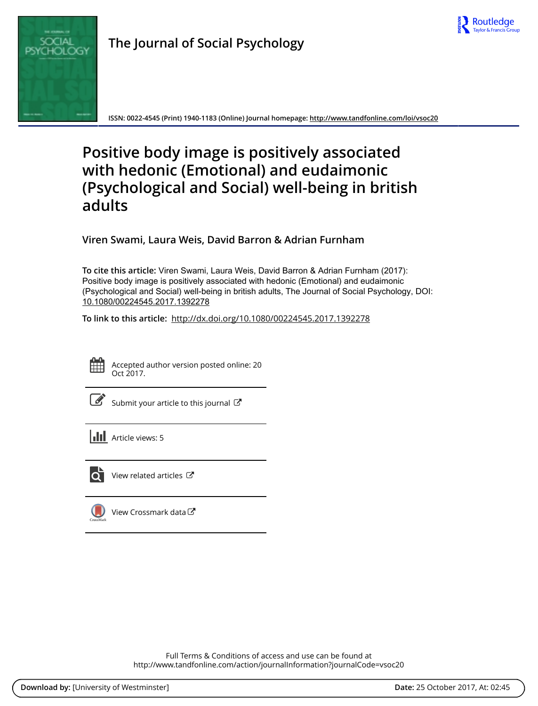

**ISSN: 0022-4545 (Print) 1940-1183 (Online) Journal homepage:<http://www.tandfonline.com/loi/vsoc20>**

# **Positive body image is positively associated with hedonic (Emotional) and eudaimonic (Psychological and Social) well-being in british adults**

**Viren Swami, Laura Weis, David Barron & Adrian Furnham**

**To cite this article:** Viren Swami, Laura Weis, David Barron & Adrian Furnham (2017): Positive body image is positively associated with hedonic (Emotional) and eudaimonic (Psychological and Social) well-being in british adults, The Journal of Social Psychology, DOI: [10.1080/00224545.2017.1392278](http://www.tandfonline.com/action/showCitFormats?doi=10.1080/00224545.2017.1392278)

**To link to this article:** <http://dx.doi.org/10.1080/00224545.2017.1392278>



Accepted author version posted online: 20 Oct 2017.

|--|

[Submit your article to this journal](http://www.tandfonline.com/action/authorSubmission?journalCode=vsoc20&show=instructions)  $\mathbb{Z}$ 

**III** Article views: 5



 $\overline{Q}$  [View related articles](http://www.tandfonline.com/doi/mlt/10.1080/00224545.2017.1392278)  $\mathbb{Z}$ 



[View Crossmark data](http://crossmark.crossref.org/dialog/?doi=10.1080/00224545.2017.1392278&domain=pdf&date_stamp=2017-10-20)<sup>√</sup>

Full Terms & Conditions of access and use can be found at <http://www.tandfonline.com/action/journalInformation?journalCode=vsoc20>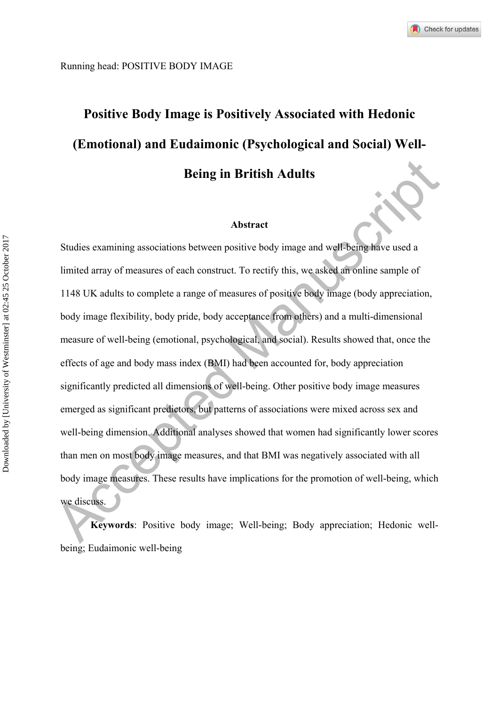# **Positive Body Image is Positively Associated with Hedonic (Emotional) and Eudaimonic (Psychological and Social) Well-Being in British Adults**

#### **Abstract**

**Abstract**<br>
Accelering in British Adults<br>
Abstract<br>
Studies examining associations between positive body image and well-being have used a<br>
limited array of measures of each construct. To rectify this, we asked an online sa Studies examining associations between positive body image and well-being have used a limited array of measures of each construct. To rectify this, we asked an online sample of 1148 UK adults to complete a range of measures of positive body image (body appreciation, body image flexibility, body pride, body acceptance from others) and a multi-dimensional measure of well-being (emotional, psychological, and social). Results showed that, once the effects of age and body mass index (BMI) had been accounted for, body appreciation significantly predicted all dimensions of well-being. Other positive body image measures emerged as significant predictors, but patterns of associations were mixed across sex and well-being dimension. Additional analyses showed that women had significantly lower scores than men on most body image measures, and that BMI was negatively associated with all body image measures. These results have implications for the promotion of well-being, which we discuss.

**Keywords**: Positive body image; Well-being; Body appreciation; Hedonic wellbeing; Eudaimonic well-being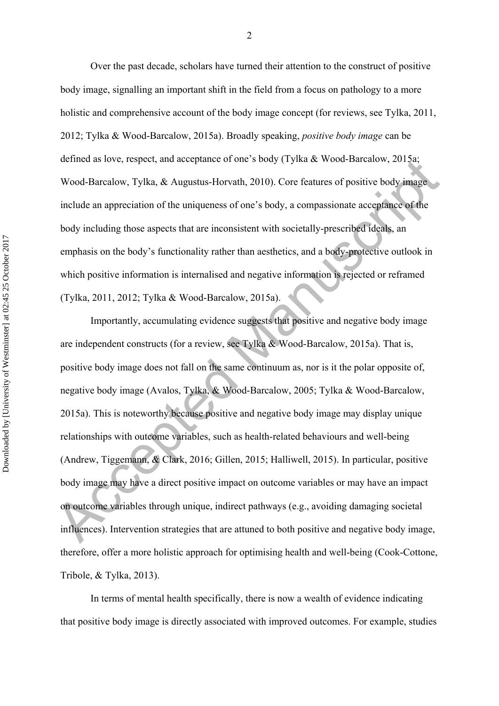Over the past decade, scholars have turned their attention to the construct of positive body image, signalling an important shift in the field from a focus on pathology to a more holistic and comprehensive account of the body image concept (for reviews, see Tylka, 2011, 2012; Tylka & Wood-Barcalow, 2015a). Broadly speaking, *positive body image* can be defined as love, respect, and acceptance of one's body (Tylka & Wood-Barcalow, 2015a; Wood-Barcalow, Tylka, & Augustus-Horvath, 2010). Core features of positive body image include an appreciation of the uniqueness of one's body, a compassionate acceptance of the body including those aspects that are inconsistent with societally-prescribed ideals, an emphasis on the body's functionality rather than aesthetics, and a body-protective outlook in which positive information is internalised and negative information is rejected or reframed (Tylka, 2011, 2012; Tylka & Wood-Barcalow, 2015a).

defined as love, respect, and acceptance of one s body (1y) at  $\alpha$  wood-Barcalow, 2013a.<br>Wood-Barcalow, Tylka, & Augustus-Horvath, 2010). Core features of positive body image<br>include an appreciation of the uniqueness of Importantly, accumulating evidence suggests that positive and negative body image are independent constructs (for a review, see Tylka & Wood-Barcalow, 2015a). That is, positive body image does not fall on the same continuum as, nor is it the polar opposite of, negative body image (Avalos, Tylka, & Wood-Barcalow, 2005; Tylka & Wood-Barcalow, 2015a). This is noteworthy because positive and negative body image may display unique relationships with outcome variables, such as health-related behaviours and well-being (Andrew, Tiggemann, & Clark, 2016; Gillen, 2015; Halliwell, 2015). In particular, positive body image may have a direct positive impact on outcome variables or may have an impact on outcome variables through unique, indirect pathways (e.g., avoiding damaging societal influences). Intervention strategies that are attuned to both positive and negative body image, therefore, offer a more holistic approach for optimising health and well-being (Cook-Cottone, Tribole, & Tylka, 2013).

 In terms of mental health specifically, there is now a wealth of evidence indicating that positive body image is directly associated with improved outcomes. For example, studies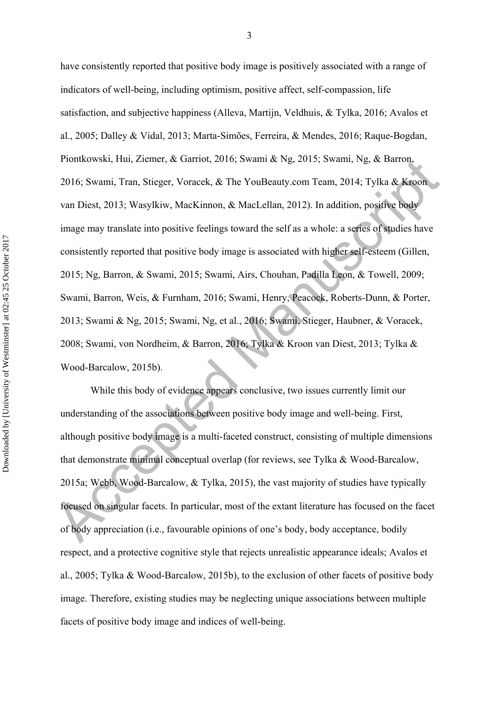Piontkowski, Hui, Ziemer, & Garriot, 2016; Swami & Ng, 2015; Swami, Ng, & Barron,<br>2016; Swami, Tran, Stieger, Voracek, & The YouBeauty com Team, 2014; Tylka & Kroon<br>van Diest, 2013; Wasylkiw, MacKinnon, & MacLellan, 2012) have consistently reported that positive body image is positively associated with a range of indicators of well-being, including optimism, positive affect, self-compassion, life satisfaction, and subjective happiness (Alleva, Martijn, Veldhuis, & Tylka, 2016; Avalos et al., 2005; Dalley & Vidal, 2013; Marta-Simões, Ferreira, & Mendes, 2016; Raque-Bogdan, Piontkowski, Hui, Ziemer, & Garriot, 2016; Swami & Ng, 2015; Swami, Ng, & Barron, 2016; Swami, Tran, Stieger, Voracek, & The YouBeauty.com Team, 2014; Tylka & Kroon van Diest, 2013; Wasylkiw, MacKinnon, & MacLellan, 2012). In addition, positive body image may translate into positive feelings toward the self as a whole: a series of studies have consistently reported that positive body image is associated with higher self-esteem (Gillen, 2015; Ng, Barron, & Swami, 2015; Swami, Airs, Chouhan, Padilla Leon, & Towell, 2009; Swami, Barron, Weis, & Furnham, 2016; Swami, Henry, Peacock, Roberts-Dunn, & Porter, 2013; Swami & Ng, 2015; Swami, Ng, et al., 2016; Swami, Stieger, Haubner, & Voracek, 2008; Swami, von Nordheim, & Barron, 2016; Tylka & Kroon van Diest, 2013; Tylka & Wood-Barcalow, 2015b).

 While this body of evidence appears conclusive, two issues currently limit our understanding of the associations between positive body image and well-being. First, although positive body image is a multi-faceted construct, consisting of multiple dimensions that demonstrate minimal conceptual overlap (for reviews, see Tylka & Wood-Barcalow, 2015a; Webb, Wood-Barcalow, & Tylka, 2015), the vast majority of studies have typically focused on singular facets. In particular, most of the extant literature has focused on the facet of body appreciation (i.e., favourable opinions of one's body, body acceptance, bodily respect, and a protective cognitive style that rejects unrealistic appearance ideals; Avalos et al., 2005; Tylka & Wood-Barcalow, 2015b), to the exclusion of other facets of positive body image. Therefore, existing studies may be neglecting unique associations between multiple facets of positive body image and indices of well-being.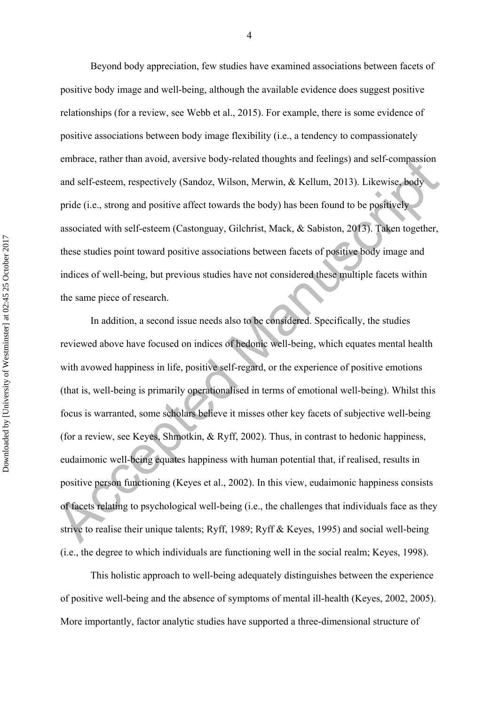Beyond body appreciation, few studies have examined associations between facets of positive body image and well-being, although the available evidence does suggest positive relationships (for a review, see Webb et al., 2015). For example, there is some evidence of positive associations between body image flexibility (i.e., a tendency to compassionately embrace, rather than avoid, aversive body-related thoughts and feelings) and self-compassion and self-esteem, respectively (Sandoz, Wilson, Merwin, & Kellum, 2013). Likewise, body pride (i.e., strong and positive affect towards the body) has been found to be positively associated with self-esteem (Castonguay, Gilchrist, Mack, & Sabiston, 2013). Taken together, these studies point toward positive associations between facets of positive body image and indices of well-being, but previous studies have not considered these multiple facets within the same piece of research.

embrace, rather than avoid, aversive body-related thoughts and identigs) and sell-compassion<br>and self-esteem, respectively (Sandoz, Wilson, Merwin, & Kellum, 2013). Likewise, body<br>pride (i.e., strong and positive affect to In addition, a second issue needs also to be considered. Specifically, the studies reviewed above have focused on indices of hedonic well-being, which equates mental health with avowed happiness in life, positive self-regard, or the experience of positive emotions (that is, well-being is primarily operationalised in terms of emotional well-being). Whilst this focus is warranted, some scholars believe it misses other key facets of subjective well-being (for a review, see Keyes, Shmotkin, & Ryff, 2002). Thus, in contrast to hedonic happiness, eudaimonic well-being equates happiness with human potential that, if realised, results in positive person functioning (Keyes et al., 2002). In this view, eudaimonic happiness consists of facets relating to psychological well-being (i.e., the challenges that individuals face as they strive to realise their unique talents; Ryff, 1989; Ryff & Keyes, 1995) and social well-being (i.e., the degree to which individuals are functioning well in the social realm; Keyes, 1998).

 This holistic approach to well-being adequately distinguishes between the experience of positive well-being and the absence of symptoms of mental ill-health (Keyes, 2002, 2005). More importantly, factor analytic studies have supported a three-dimensional structure of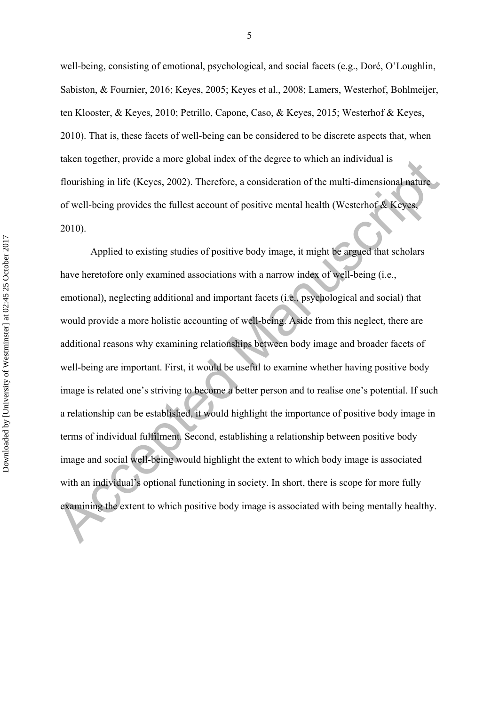well-being, consisting of emotional, psychological, and social facets (e.g., Doré, O'Loughlin, Sabiston, & Fournier, 2016; Keyes, 2005; Keyes et al., 2008; Lamers, Westerhof, Bohlmeijer, ten Klooster, & Keyes, 2010; Petrillo, Capone, Caso, & Keyes, 2015; Westerhof & Keyes, 2010). That is, these facets of well-being can be considered to be discrete aspects that, when taken together, provide a more global index of the degree to which an individual is flourishing in life (Keyes, 2002). Therefore, a consideration of the multi-dimensional nature of well-being provides the fullest account of positive mental health (Westerhof & Keyes, 2010).

taken together, provide a more glooal index of the degree to which an individual is<br>flourishing in life (Keyes, 2002). Therefore, a consideration of the multi-dimensional nature<br>of well-being provides the fullest account o Applied to existing studies of positive body image, it might be argued that scholars have heretofore only examined associations with a narrow index of well-being (i.e., emotional), neglecting additional and important facets (i.e., psychological and social) that would provide a more holistic accounting of well-being. Aside from this neglect, there are additional reasons why examining relationships between body image and broader facets of well-being are important. First, it would be useful to examine whether having positive body image is related one's striving to become a better person and to realise one's potential. If such a relationship can be established, it would highlight the importance of positive body image in terms of individual fulfilment. Second, establishing a relationship between positive body image and social well-being would highlight the extent to which body image is associated with an individual's optional functioning in society. In short, there is scope for more fully examining the extent to which positive body image is associated with being mentally healthy.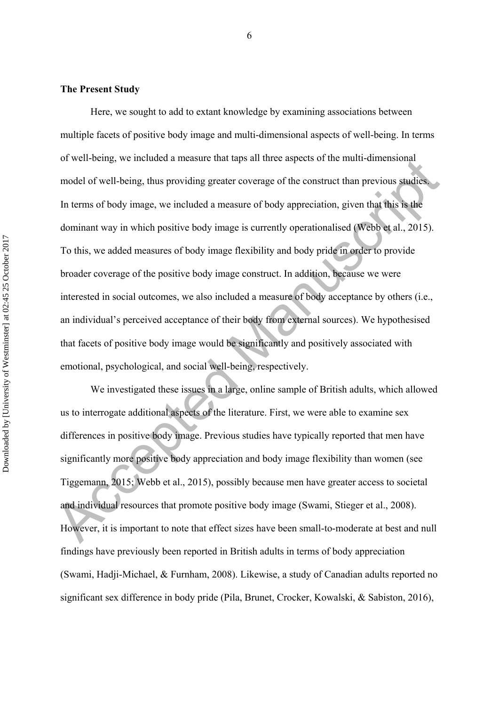#### **The Present Study**

or well-being, we included a measure utat taps an interestige so the muni-dimensional<br>model of well-being, thus providing greater coverage of the construct than previous studies.<br>In terms of body image, we included a measu Here, we sought to add to extant knowledge by examining associations between multiple facets of positive body image and multi-dimensional aspects of well-being. In terms of well-being, we included a measure that taps all three aspects of the multi-dimensional model of well-being, thus providing greater coverage of the construct than previous studies. In terms of body image, we included a measure of body appreciation, given that this is the dominant way in which positive body image is currently operationalised (Webb et al., 2015). To this, we added measures of body image flexibility and body pride in order to provide broader coverage of the positive body image construct. In addition, because we were interested in social outcomes, we also included a measure of body acceptance by others (i.e., an individual's perceived acceptance of their body from external sources). We hypothesised that facets of positive body image would be significantly and positively associated with emotional, psychological, and social well-being, respectively.

We investigated these issues in a large, online sample of British adults, which allowed us to interrogate additional aspects of the literature. First, we were able to examine sex differences in positive body image. Previous studies have typically reported that men have significantly more positive body appreciation and body image flexibility than women (see Tiggemann, 2015; Webb et al., 2015), possibly because men have greater access to societal and individual resources that promote positive body image (Swami, Stieger et al., 2008). However, it is important to note that effect sizes have been small-to-moderate at best and null findings have previously been reported in British adults in terms of body appreciation (Swami, Hadji-Michael, & Furnham, 2008). Likewise, a study of Canadian adults reported no significant sex difference in body pride (Pila, Brunet, Crocker, Kowalski, & Sabiston, 2016),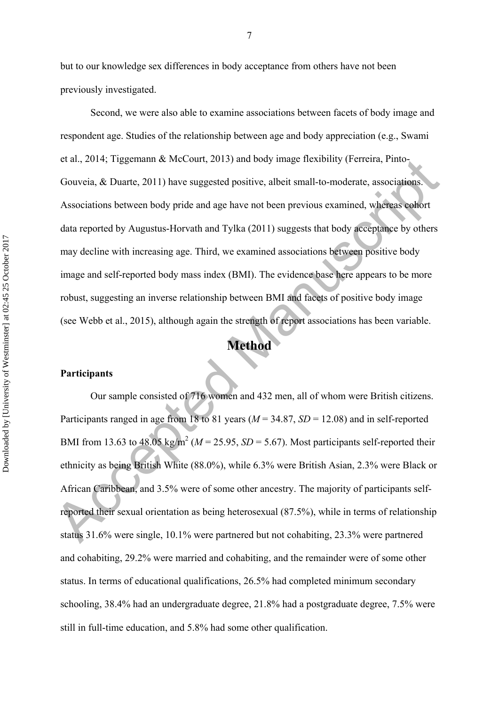but to our knowledge sex differences in body acceptance from others have not been previously investigated.

et at, 2014; Tiggemann & McCourt, 2013) and body image flexibility (Ferreira, Pinto-<br>Gouveia, & Duarte, 2011) have suggested positive, albeit small-to-moderate, associations<br>Associations between body pride and age have no Second, we were also able to examine associations between facets of body image and respondent age. Studies of the relationship between age and body appreciation (e.g., Swami et al., 2014; Tiggemann & McCourt, 2013) and body image flexibility (Ferreira, Pinto-Gouveia, & Duarte, 2011) have suggested positive, albeit small-to-moderate, associations. Associations between body pride and age have not been previous examined, whereas cohort data reported by Augustus-Horvath and Tylka (2011) suggests that body acceptance by others may decline with increasing age. Third, we examined associations between positive body image and self-reported body mass index (BMI). The evidence base here appears to be more robust, suggesting an inverse relationship between BMI and facets of positive body image (see Webb et al., 2015), although again the strength of report associations has been variable.

# **Method**

### **Participants**

Our sample consisted of 716 women and 432 men, all of whom were British citizens. Participants ranged in age from 18 to 81 years (*M* = 34.87, *SD* = 12.08) and in self-reported BMI from 13.63 to 48.05 kg/m<sup>2</sup> ( $M = 25.95$ ,  $SD = 5.67$ ). Most participants self-reported their ethnicity as being British White (88.0%), while 6.3% were British Asian, 2.3% were Black or African Caribbean, and 3.5% were of some other ancestry. The majority of participants selfreported their sexual orientation as being heterosexual (87.5%), while in terms of relationship status 31.6% were single, 10.1% were partnered but not cohabiting, 23.3% were partnered and cohabiting, 29.2% were married and cohabiting, and the remainder were of some other status. In terms of educational qualifications, 26.5% had completed minimum secondary schooling, 38.4% had an undergraduate degree, 21.8% had a postgraduate degree, 7.5% were still in full-time education, and 5.8% had some other qualification.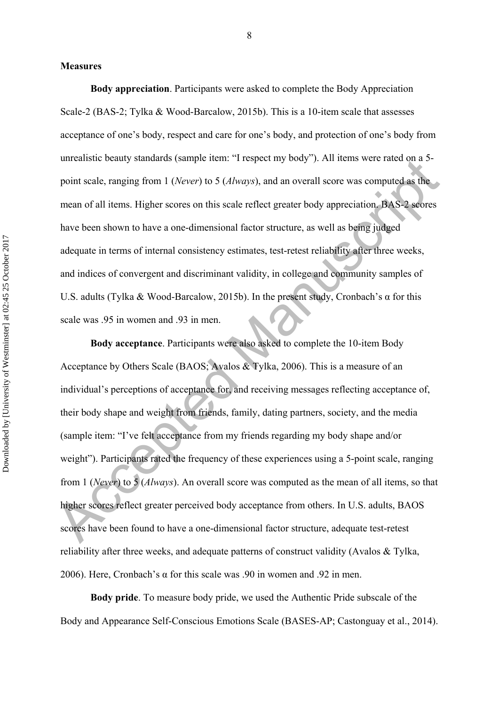#### **Measures**

**Body appreciation**. Participants were asked to complete the Body Appreciation Scale-2 (BAS-2; Tylka & Wood-Barcalow, 2015b). This is a 10-item scale that assesses acceptance of one's body, respect and care for one's body, and protection of one's body from unrealistic beauty standards (sample item: "I respect my body"). All items were rated on a 5 point scale, ranging from 1 (*Never*) to 5 (*Always*), and an overall score was computed as the mean of all items. Higher scores on this scale reflect greater body appreciation. BAS-2 scores have been shown to have a one-dimensional factor structure, as well as being judged adequate in terms of internal consistency estimates, test-retest reliability after three weeks, and indices of convergent and discriminant validity, in college and community samples of U.S. adults (Tylka & Wood-Barcalow, 2015b). In the present study, Cronbach's α for this scale was .95 in women and .93 in men.

direction example item. The spectral body y. All then sweet factors about scanner than the spectral strength of the mean of all items. Higher scores on this scale reflect greater body appreciation. BAS-2 seores have been **Body acceptance**. Participants were also asked to complete the 10-item Body Acceptance by Others Scale (BAOS; Avalos & Tylka, 2006). This is a measure of an individual's perceptions of acceptance for, and receiving messages reflecting acceptance of, their body shape and weight from friends, family, dating partners, society, and the media (sample item: "I've felt acceptance from my friends regarding my body shape and/or weight"). Participants rated the frequency of these experiences using a 5-point scale, ranging from 1 (*Never*) to 5 (*Always*). An overall score was computed as the mean of all items, so that higher scores reflect greater perceived body acceptance from others. In U.S. adults, BAOS scores have been found to have a one-dimensional factor structure, adequate test-retest reliability after three weeks, and adequate patterns of construct validity (Avalos & Tylka, 2006). Here, Cronbach's α for this scale was .90 in women and .92 in men.

**Body pride**. To measure body pride, we used the Authentic Pride subscale of the Body and Appearance Self-Conscious Emotions Scale (BASES-AP; Castonguay et al., 2014).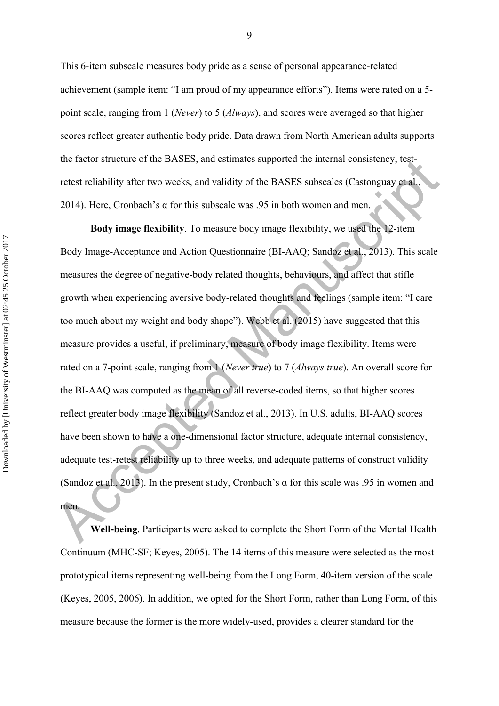This 6-item subscale measures body pride as a sense of personal appearance-related achievement (sample item: "I am proud of my appearance efforts"). Items were rated on a 5 point scale, ranging from 1 (*Never*) to 5 (*Always*), and scores were averaged so that higher scores reflect greater authentic body pride. Data drawn from North American adults supports the factor structure of the BASES, and estimates supported the internal consistency, testretest reliability after two weeks, and validity of the BASES subscales (Castonguay et al., 2014). Here, Cronbach's  $\alpha$  for this subscale was .95 in both women and men.

the lactor structure of the BASES, and estimates supported the internal consistency, test-<br>
retest reliability after two weeks, and validity of the BASES subscales (Castonguay stral,<br>
2014). Here, Cronbach's  $\alpha$  for this **Body image flexibility**. To measure body image flexibility, we used the 12-item Body Image-Acceptance and Action Questionnaire (BI-AAQ; Sandoz et al., 2013). This scale measures the degree of negative-body related thoughts, behaviours, and affect that stifle growth when experiencing aversive body-related thoughts and feelings (sample item: "I care too much about my weight and body shape"). Webb et al. (2015) have suggested that this measure provides a useful, if preliminary, measure of body image flexibility. Items were rated on a 7-point scale, ranging from 1 (*Never true*) to 7 (*Always true*). An overall score for the BI-AAQ was computed as the mean of all reverse-coded items, so that higher scores reflect greater body image flexibility (Sandoz et al., 2013). In U.S. adults, BI-AAQ scores have been shown to have a one-dimensional factor structure, adequate internal consistency, adequate test-retest reliability up to three weeks, and adequate patterns of construct validity (Sandoz et al., 2013). In the present study, Cronbach's  $\alpha$  for this scale was .95 in women and men.

**Well-being**. Participants were asked to complete the Short Form of the Mental Health Continuum (MHC-SF; Keyes, 2005). The 14 items of this measure were selected as the most prototypical items representing well-being from the Long Form, 40-item version of the scale (Keyes, 2005, 2006). In addition, we opted for the Short Form, rather than Long Form, of this measure because the former is the more widely-used, provides a clearer standard for the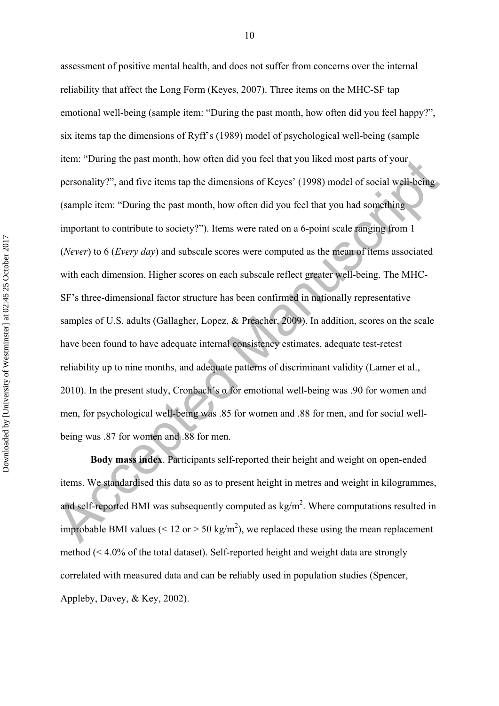item: "During the past month, now otten did you leed that you liked most parts of your<br>personality?", and five items tap the dimensions of Keyes' (1998) model of social well-being<br>(sample item: "During the past month, how assessment of positive mental health, and does not suffer from concerns over the internal reliability that affect the Long Form (Keyes, 2007). Three items on the MHC-SF tap emotional well-being (sample item: "During the past month, how often did you feel happy?", six items tap the dimensions of Ryff's (1989) model of psychological well-being (sample item: "During the past month, how often did you feel that you liked most parts of your personality?", and five items tap the dimensions of Keyes' (1998) model of social well-being (sample item: "During the past month, how often did you feel that you had something important to contribute to society?"). Items were rated on a 6-point scale ranging from 1 (*Never*) to 6 (*Every day*) and subscale scores were computed as the mean of items associated with each dimension. Higher scores on each subscale reflect greater well-being. The MHC-SF's three-dimensional factor structure has been confirmed in nationally representative samples of U.S. adults (Gallagher, Lopez, & Preacher, 2009). In addition, scores on the scale have been found to have adequate internal consistency estimates, adequate test-retest reliability up to nine months, and adequate patterns of discriminant validity (Lamer et al., 2010). In the present study, Cronbach's  $\alpha$  for emotional well-being was .90 for women and men, for psychological well-being was .85 for women and .88 for men, and for social wellbeing was .87 for women and .88 for men.

**Body mass index**. Participants self-reported their height and weight on open-ended items. We standardised this data so as to present height in metres and weight in kilogrammes, and self-reported BMI was subsequently computed as  $\text{kg/m}^2$ . Where computations resulted in improbable BMI values ( $\leq 12$  or  $> 50$  kg/m<sup>2</sup>), we replaced these using the mean replacement method (< 4.0% of the total dataset). Self-reported height and weight data are strongly correlated with measured data and can be reliably used in population studies (Spencer, Appleby, Davey, & Key, 2002).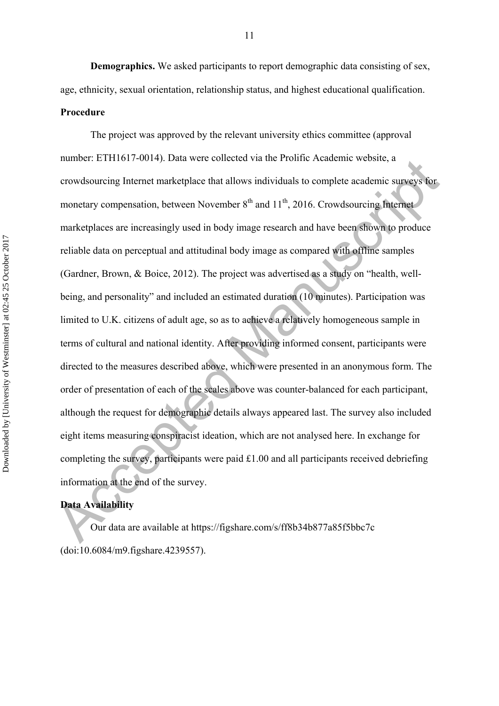**Demographics.** We asked participants to report demographic data consisting of sex, age, ethnicity, sexual orientation, relationship status, and highest educational qualification. **Procedure** 

number. ETT1017-0014). Data were conected via die Prominc Academic website, a<br>crowdsourcing Internet marketplace that allows individuals to complete academic surveys for<br>monetary compensation, between November  $8^{\text{th}}$  a The project was approved by the relevant university ethics committee (approval number: ETH1617-0014). Data were collected via the Prolific Academic website, a crowdsourcing Internet marketplace that allows individuals to complete academic surveys for monetary compensation, between November  $8<sup>th</sup>$  and  $11<sup>th</sup>$ , 2016. Crowdsourcing Internet marketplaces are increasingly used in body image research and have been shown to produce reliable data on perceptual and attitudinal body image as compared with offline samples (Gardner, Brown, & Boice, 2012). The project was advertised as a study on "health, wellbeing, and personality" and included an estimated duration (10 minutes). Participation was limited to U.K. citizens of adult age, so as to achieve a relatively homogeneous sample in terms of cultural and national identity. After providing informed consent, participants were directed to the measures described above, which were presented in an anonymous form. The order of presentation of each of the scales above was counter-balanced for each participant, although the request for demographic details always appeared last. The survey also included eight items measuring conspiracist ideation, which are not analysed here. In exchange for completing the survey, participants were paid £1.00 and all participants received debriefing information at the end of the survey.

## **Data Availability**

 Our data are available at https://figshare.com/s/ff8b34b877a85f5bbc7c (doi:10.6084/m9.figshare.4239557).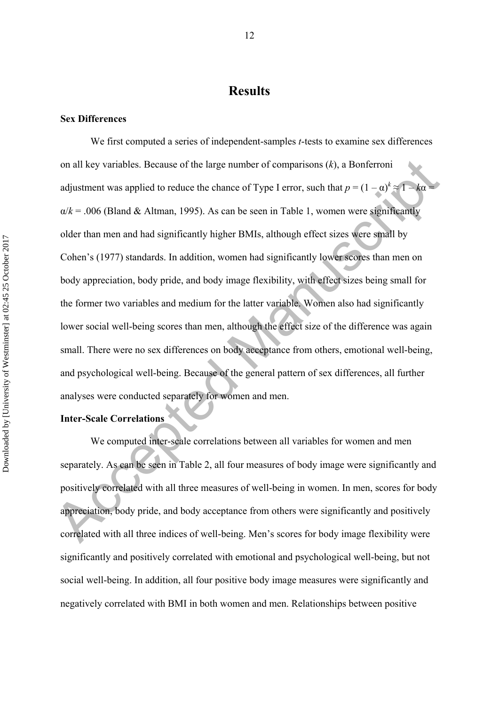# **Results**

#### **Sex Differences**

on all key variables. Because of the large number of comparisons  $(k)$ , a Bonferroni<br>adjustment was applied to reduce the chance of Type 1 error, such that  $p = (1 - \alpha)^k \approx 1 - k\alpha$ <br> $\alpha/k = .006$  (Bland & Altman, 1995). As can be s We first computed a series of independent-samples *t*-tests to examine sex differences on all key variables. Because of the large number of comparisons (*k*), a Bonferroni adjustment was applied to reduce the chance of Type I error, such that  $p = (1 - \alpha)^k \approx 1 - k\alpha = 1$  $\alpha/k = .006$  (Bland & Altman, 1995). As can be seen in Table 1, women were significantly older than men and had significantly higher BMIs, although effect sizes were small by Cohen's (1977) standards. In addition, women had significantly lower scores than men on body appreciation, body pride, and body image flexibility, with effect sizes being small for the former two variables and medium for the latter variable. Women also had significantly lower social well-being scores than men, although the effect size of the difference was again small. There were no sex differences on body acceptance from others, emotional well-being, and psychological well-being. Because of the general pattern of sex differences, all further analyses were conducted separately for women and men.

## **Inter-Scale Correlations**

We computed inter-scale correlations between all variables for women and men separately. As can be seen in Table 2, all four measures of body image were significantly and positively correlated with all three measures of well-being in women. In men, scores for body appreciation, body pride, and body acceptance from others were significantly and positively correlated with all three indices of well-being. Men's scores for body image flexibility were significantly and positively correlated with emotional and psychological well-being, but not social well-being. In addition, all four positive body image measures were significantly and negatively correlated with BMI in both women and men. Relationships between positive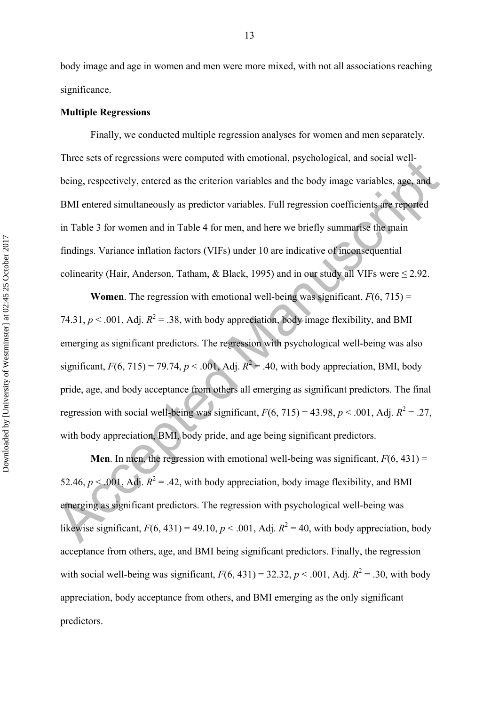body image and age in women and men were more mixed, with not all associations reaching significance.

#### **Multiple Regressions**

 Finally, we conducted multiple regression analyses for women and men separately. Three sets of regressions were computed with emotional, psychological, and social wellbeing, respectively, entered as the criterion variables and the body image variables, age, and BMI entered simultaneously as predictor variables. Full regression coefficients are reported in Table 3 for women and in Table 4 for men, and here we briefly summarise the main findings. Variance inflation factors (VIFs) under 10 are indicative of inconsequential colinearity (Hair, Anderson, Tatham, & Black, 1995) and in our study all VIFs were  $\leq$  2.92.

Fine sets of regressions were computed with emotional, psychological, and social well-<br>being, respectively, entered as the criterion variables and the body image variables, sage, and<br>BMI entered simultaneously as predicto **Women**. The regression with emotional well-being was significant,  $F(6, 715) =$ 74.31,  $p < .001$ , Adj.  $R^2 = .38$ , with body appreciation, body image flexibility, and BMI emerging as significant predictors. The regression with psychological well-being was also significant,  $F(6, 715) = 79.74$ ,  $p < .001$ , Adj.  $R^2 = .40$ , with body appreciation, BMI, body pride, age, and body acceptance from others all emerging as significant predictors. The final regression with social well-being was significant,  $F(6, 715) = 43.98$ ,  $p < .001$ , Adj.  $R^2 = .27$ , with body appreciation, BMI, body pride, and age being significant predictors.

**Men**. In men, the regression with emotional well-being was significant,  $F(6, 431) =$ 52.46,  $p < .001$ , Adj.  $R^2 = .42$ , with body appreciation, body image flexibility, and BMI emerging as significant predictors. The regression with psychological well-being was likewise significant,  $F(6, 431) = 49.10$ ,  $p < .001$ , Adj.  $R^2 = 40$ , with body appreciation, body acceptance from others, age, and BMI being significant predictors. Finally, the regression with social well-being was significant,  $F(6, 431) = 32.32$ ,  $p < .001$ , Adj.  $R^2 = .30$ , with body appreciation, body acceptance from others, and BMI emerging as the only significant predictors.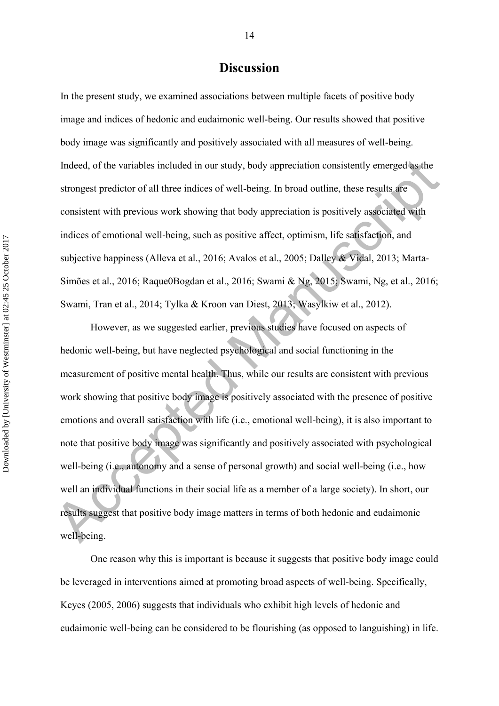# **Discussion**

In the present study, we examined associations between multiple facets of positive body image and indices of hedonic and eudaimonic well-being. Our results showed that positive body image was significantly and positively associated with all measures of well-being. Indeed, of the variables included in our study, body appreciation consistently emerged as the strongest predictor of all three indices of well-being. In broad outline, these results are consistent with previous work showing that body appreciation is positively associated with indices of emotional well-being, such as positive affect, optimism, life satisfaction, and subjective happiness (Alleva et al., 2016; Avalos et al., 2005; Dalley & Vidal, 2013; Marta-Simões et al., 2016; Raque0Bogdan et al., 2016; Swami & Ng, 2015; Swami, Ng, et al., 2016; Swami, Tran et al., 2014; Tylka & Kroon van Diest, 2013; Wasylkiw et al., 2012).

Indeed, of the variables included in our study, body appreciation consistently emerged as the<br>strongest predictor of all three indices of well-being. In broad outline, these results are<br>consistent with previous work showi However, as we suggested earlier, previous studies have focused on aspects of hedonic well-being, but have neglected psychological and social functioning in the measurement of positive mental health. Thus, while our results are consistent with previous work showing that positive body image is positively associated with the presence of positive emotions and overall satisfaction with life (i.e., emotional well-being), it is also important to note that positive body image was significantly and positively associated with psychological well-being (i.e., autonomy and a sense of personal growth) and social well-being (i.e., how well an individual functions in their social life as a member of a large society). In short, our results suggest that positive body image matters in terms of both hedonic and eudaimonic well-being.

 One reason why this is important is because it suggests that positive body image could be leveraged in interventions aimed at promoting broad aspects of well-being. Specifically, Keyes (2005, 2006) suggests that individuals who exhibit high levels of hedonic and eudaimonic well-being can be considered to be flourishing (as opposed to languishing) in life.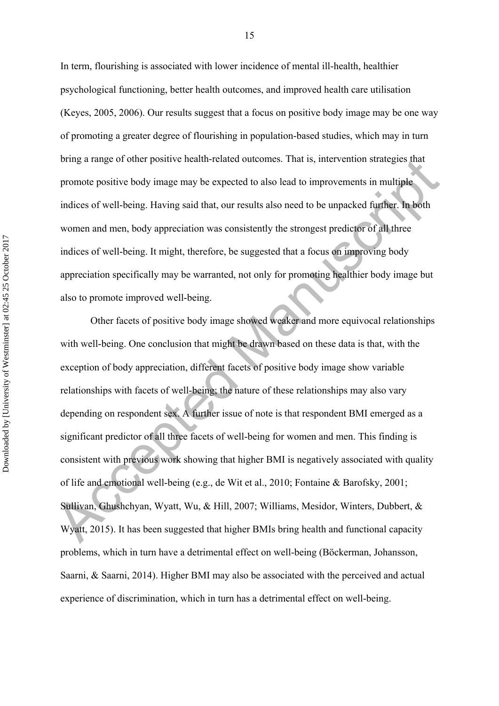In term, flourishing is associated with lower incidence of mental ill-health, healthier psychological functioning, better health outcomes, and improved health care utilisation (Keyes, 2005, 2006). Our results suggest that a focus on positive body image may be one way of promoting a greater degree of flourishing in population-based studies, which may in turn bring a range of other positive health-related outcomes. That is, intervention strategies that promote positive body image may be expected to also lead to improvements in multiple indices of well-being. Having said that, our results also need to be unpacked further. In both women and men, body appreciation was consistently the strongest predictor of all three indices of well-being. It might, therefore, be suggested that a focus on improving body appreciation specifically may be warranted, not only for promoting healthier body image but also to promote improved well-being.

bring a range of other positive health-related outcomes. I nat is, intervention strategies mat<br>promote positive body image may be expected to also lead to improvements in multiple<br>indices of well-being. Having said that, o Other facets of positive body image showed weaker and more equivocal relationships with well-being. One conclusion that might be drawn based on these data is that, with the exception of body appreciation, different facets of positive body image show variable relationships with facets of well-being; the nature of these relationships may also vary depending on respondent sex. A further issue of note is that respondent BMI emerged as a significant predictor of all three facets of well-being for women and men. This finding is consistent with previous work showing that higher BMI is negatively associated with quality of life and emotional well-being (e.g., de Wit et al., 2010; Fontaine & Barofsky, 2001; Sullivan, Ghushchyan, Wyatt, Wu, & Hill, 2007; Williams, Mesidor, Winters, Dubbert, & Wyatt, 2015). It has been suggested that higher BMIs bring health and functional capacity problems, which in turn have a detrimental effect on well-being (Böckerman, Johansson, Saarni, & Saarni, 2014). Higher BMI may also be associated with the perceived and actual experience of discrimination, which in turn has a detrimental effect on well-being.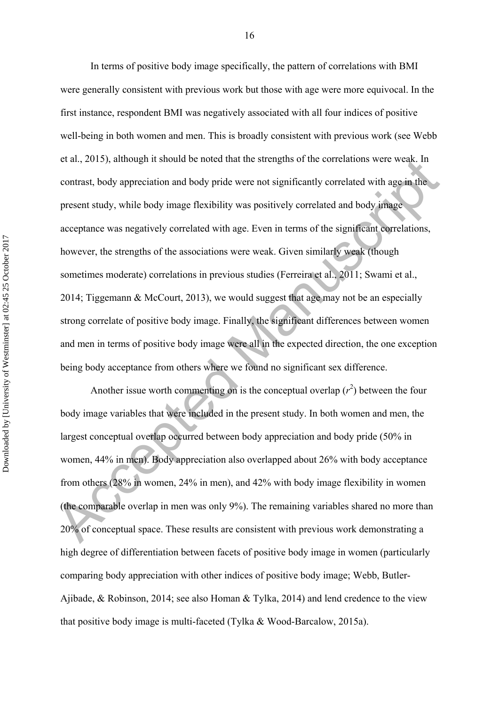et at, 2015), although it should be noted that the strengths of the correlations were weak. In<br>contrast, body appreciation and body pride were not significantly correlated with age in the<br>present study, while body image f In terms of positive body image specifically, the pattern of correlations with BMI were generally consistent with previous work but those with age were more equivocal. In the first instance, respondent BMI was negatively associated with all four indices of positive well-being in both women and men. This is broadly consistent with previous work (see Webb et al., 2015), although it should be noted that the strengths of the correlations were weak. In contrast, body appreciation and body pride were not significantly correlated with age in the present study, while body image flexibility was positively correlated and body image acceptance was negatively correlated with age. Even in terms of the significant correlations, however, the strengths of the associations were weak. Given similarly weak (though sometimes moderate) correlations in previous studies (Ferreira et al., 2011; Swami et al., 2014; Tiggemann & McCourt, 2013), we would suggest that age may not be an especially strong correlate of positive body image. Finally, the significant differences between women and men in terms of positive body image were all in the expected direction, the one exception being body acceptance from others where we found no significant sex difference.

Another issue worth commenting on is the conceptual overlap  $(r^2)$  between the four body image variables that were included in the present study. In both women and men, the largest conceptual overlap occurred between body appreciation and body pride (50% in women, 44% in men). Body appreciation also overlapped about 26% with body acceptance from others (28% in women, 24% in men), and 42% with body image flexibility in women (the comparable overlap in men was only 9%). The remaining variables shared no more than 20% of conceptual space. These results are consistent with previous work demonstrating a high degree of differentiation between facets of positive body image in women (particularly comparing body appreciation with other indices of positive body image; Webb, Butler-Ajibade, & Robinson, 2014; see also Homan & Tylka, 2014) and lend credence to the view that positive body image is multi-faceted (Tylka & Wood-Barcalow, 2015a).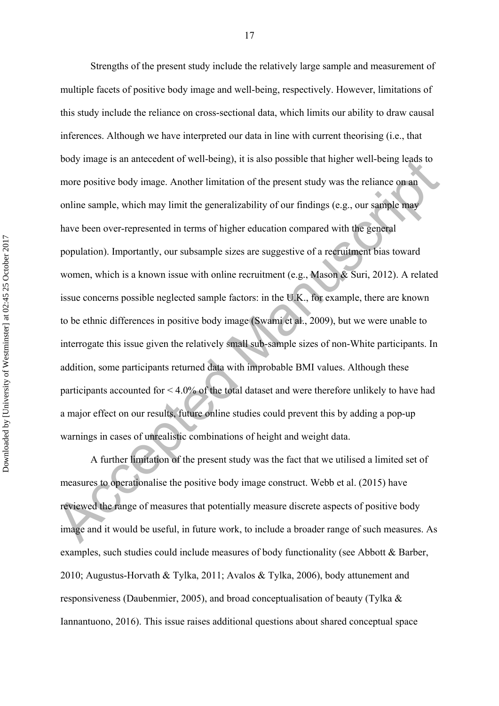boay image is an antecect of well-being), it is also possible that higher well-being leads to<br>more positive body image. Another limitation of the present study was the reliance on an<br>online sample, which may limit the gen Strengths of the present study include the relatively large sample and measurement of multiple facets of positive body image and well-being, respectively. However, limitations of this study include the reliance on cross-sectional data, which limits our ability to draw causal inferences. Although we have interpreted our data in line with current theorising (i.e., that body image is an antecedent of well-being), it is also possible that higher well-being leads to more positive body image. Another limitation of the present study was the reliance on an online sample, which may limit the generalizability of our findings (e.g., our sample may have been over-represented in terms of higher education compared with the general population). Importantly, our subsample sizes are suggestive of a recruitment bias toward women, which is a known issue with online recruitment (e.g., Mason & Suri, 2012). A related issue concerns possible neglected sample factors: in the U.K., for example, there are known to be ethnic differences in positive body image (Swami et al., 2009), but we were unable to interrogate this issue given the relatively small sub-sample sizes of non-White participants. In addition, some participants returned data with improbable BMI values. Although these participants accounted for  $\leq 4.0\%$  of the total dataset and were therefore unlikely to have had a major effect on our results, future online studies could prevent this by adding a pop-up warnings in cases of unrealistic combinations of height and weight data.

 A further limitation of the present study was the fact that we utilised a limited set of measures to operationalise the positive body image construct. Webb et al. (2015) have reviewed the range of measures that potentially measure discrete aspects of positive body image and it would be useful, in future work, to include a broader range of such measures. As examples, such studies could include measures of body functionality (see Abbott & Barber, 2010; Augustus-Horvath & Tylka, 2011; Avalos & Tylka, 2006), body attunement and responsiveness (Daubenmier, 2005), and broad conceptualisation of beauty (Tylka & Iannantuono, 2016). This issue raises additional questions about shared conceptual space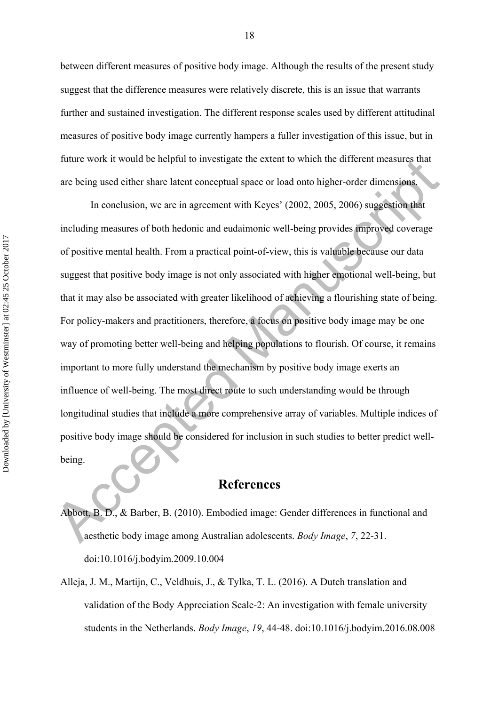between different measures of positive body image. Although the results of the present study suggest that the difference measures were relatively discrete, this is an issue that warrants further and sustained investigation. The different response scales used by different attitudinal measures of positive body image currently hampers a fuller investigation of this issue, but in future work it would be helpful to investigate the extent to which the different measures that are being used either share latent conceptual space or load onto higher-order dimensions.

nuture work it would be neiptut to investigate the extent to which the different measures that<br>are being used either share latent conceptual space or load onto higher-order dimensions.<br>In conclusion, we are in agreement wi In conclusion, we are in agreement with Keyes' (2002, 2005, 2006) suggestion that including measures of both hedonic and eudaimonic well-being provides improved coverage of positive mental health. From a practical point-of-view, this is valuable because our data suggest that positive body image is not only associated with higher emotional well-being, but that it may also be associated with greater likelihood of achieving a flourishing state of being. For policy-makers and practitioners, therefore, a focus on positive body image may be one way of promoting better well-being and helping populations to flourish. Of course, it remains important to more fully understand the mechanism by positive body image exerts an influence of well-being. The most direct route to such understanding would be through longitudinal studies that include a more comprehensive array of variables. Multiple indices of positive body image should be considered for inclusion in such studies to better predict wellbeing.

# **References**

Abbott, B. D., & Barber, B. (2010). Embodied image: Gender differences in functional and aesthetic body image among Australian adolescents. *Body Image*, *7*, 22-31. doi:10.1016/j.bodyim.2009.10.004

Alleja, J. M., Martijn, C., Veldhuis, J., & Tylka, T. L. (2016). A Dutch translation and validation of the Body Appreciation Scale-2: An investigation with female university students in the Netherlands. *Body Image*, *19*, 44-48. doi:10.1016/j.bodyim.2016.08.008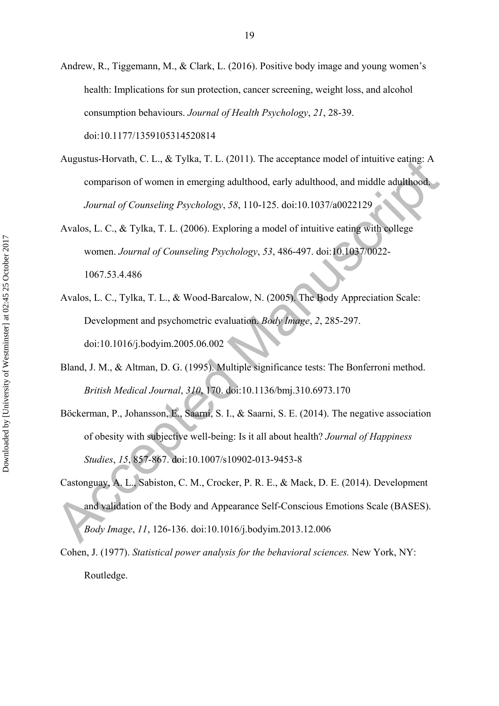- Andrew, R., Tiggemann, M., & Clark, L. (2016). Positive body image and young women's health: Implications for sun protection, cancer screening, weight loss, and alcohol consumption behaviours. *Journal of Health Psychology*, *21*, 28-39. doi:10.1177/1359105314520814
- Augustus-Horvath, C. L., & Tylka, T. L. (2011). The acceptance model of intuitive eating: A comparison of women in emerging adulthood, early adulthood, and middle adulthood. *Journal of Counseling Psychology*, *58*, 110-125. doi:10.1037/a0022129
- Avalos, L. C., & Tylka, T. L. (2006). Exploring a model of intuitive eating with college women. *Journal of Counseling Psychology*, *53*, 486-497. doi:10.1037/0022- 1067.53.4.486
- Avalos, L. C., Tylka, T. L., & Wood-Barcalow, N. (2005). The Body Appreciation Scale: Development and psychometric evaluation. *Body Image*, *2*, 285-297. doi:10.1016/j.bodyim.2005.06.002
- Bland, J. M., & Altman, D. G. (1995). Multiple significance tests: The Bonferroni method. *British Medical Journal*, *310*, 170. doi:10.1136/bmj.310.6973.170
- Böckerman, P., Johansson, E., Saarni, S. I., & Saarni, S. E. (2014). The negative association of obesity with subjective well-being: Is it all about health? *Journal of Happiness Studies*, *15*, 857-867. doi:10.1007/s10902-013-9453-8
- Augustus-Horvath, C. L., & 1ylka, T. L. (2011). The acceptance model of infullive earing: A<br>comparison of women in emerging adulthood, early adulthood, and middle adulthood<br>*Journal of Counseling Psychology, 58*, 110-125. Castonguay, A. L., Sabiston, C. M., Crocker, P. R. E., & Mack, D. E. (2014). Development and validation of the Body and Appearance Self-Conscious Emotions Scale (BASES). *Body Image*, *11*, 126-136. doi:10.1016/j.bodyim.2013.12.006
	- Cohen, J. (1977). *Statistical power analysis for the behavioral sciences.* New York, NY: Routledge.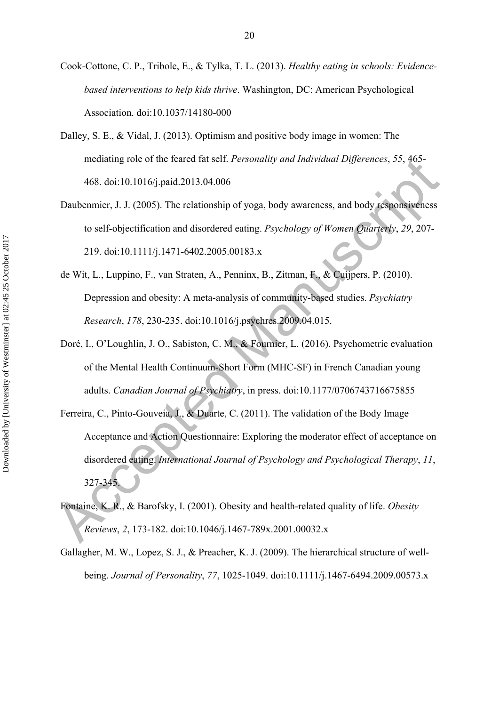- Cook-Cottone, C. P., Tribole, E., & Tylka, T. L. (2013). *Healthy eating in schools: Evidencebased interventions to help kids thrive*. Washington, DC: American Psychological Association. doi:10.1037/14180-000
- Dalley, S. E., & Vidal, J. (2013). Optimism and positive body image in women: The mediating role of the feared fat self. *Personality and Individual Differences*, *55*, 465- 468. doi:10.1016/j.paid.2013.04.006
- Daubenmier, J. J. (2005). The relationship of yoga, body awareness, and body responsiveness to self-objectification and disordered eating. *Psychology of Women Quarterly*, *29*, 207- 219. doi:10.1111/j.1471-6402.2005.00183.x
- de Wit, L., Luppino, F., van Straten, A., Penninx, B., Zitman, F., & Cuijpers, P. (2010). Depression and obesity: A meta-analysis of community-based studies. *Psychiatry Research*, *178*, 230-235. doi:10.1016/j.psychres.2009.04.015.
- Doré, I., O'Loughlin, J. O., Sabiston, C. M., & Fournier, L. (2016). Psychometric evaluation of the Mental Health Continuum-Short Form (MHC-SF) in French Canadian young adults. *Canadian Journal of Psychiatry*, in press. doi:10.1177/0706743716675855
- meanating rote of the leared fat self. *Fersonality and Individual Dijjerences*, 35, 463-<br>468. doi:10.1016/j paid 2013.04.006<br>Daubenmier, J. J. (2005). The relationship of yoga, body awareness, and body responsiveness<br>to s Ferreira, C., Pinto-Gouveia, J., & Duarte, C. (2011). The validation of the Body Image Acceptance and Action Questionnaire: Exploring the moderator effect of acceptance on disordered eating. *International Journal of Psychology and Psychological Therapy*, *11*, 327-345.
	- Fontaine, K. R., & Barofsky, I. (2001). Obesity and health-related quality of life. *Obesity Reviews*, *2*, 173-182. doi:10.1046/j.1467-789x.2001.00032.x
	- Gallagher, M. W., Lopez, S. J., & Preacher, K. J. (2009). The hierarchical structure of wellbeing. *Journal of Personality*, *77*, 1025-1049. doi:10.1111/j.1467-6494.2009.00573.x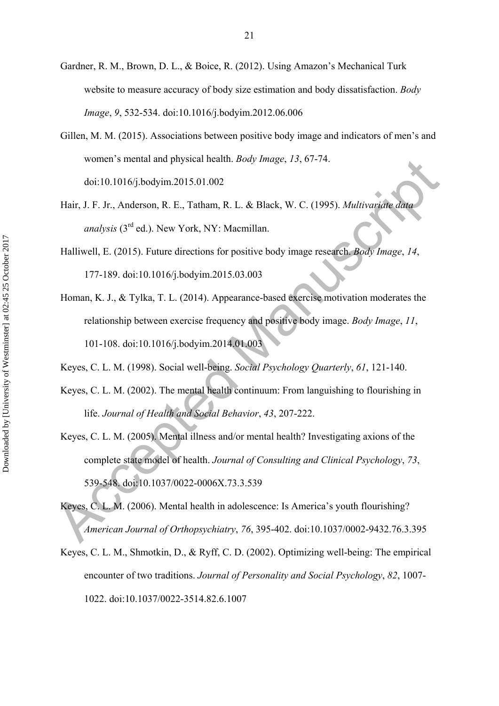- Gardner, R. M., Brown, D. L., & Boice, R. (2012). Using Amazon's Mechanical Turk website to measure accuracy of body size estimation and body dissatisfaction. *Body Image*, *9*, 532-534. doi:10.1016/j.bodyim.2012.06.006
- Gillen, M. M. (2015). Associations between positive body image and indicators of men's and women's mental and physical health. *Body Image*, *13*, 67-74. doi:10.1016/j.bodyim.2015.01.002
- Hair, J. F. Jr., Anderson, R. E., Tatham, R. L. & Black, W. C. (1995). *Multivariate data analysis* (3rd ed.). New York, NY: Macmillan.
- Halliwell, E. (2015). Future directions for positive body image research. *Body Image*, *14*, 177-189. doi:10.1016/j.bodyim.2015.03.003
- Homan, K. J., & Tylka, T. L. (2014). Appearance-based exercise motivation moderates the relationship between exercise frequency and positive body image. *Body Image*, *11*, 101-108. doi:10.1016/j.bodyim.2014.01.003

Keyes, C. L. M. (1998). Social well-being. *Social Psychology Quarterly*, *61*, 121-140.

- Keyes, C. L. M. (2002). The mental health continuum: From languishing to flourishing in life. *Journal of Health and Social Behavior*, *43*, 207-222.
- women's mental and physical neatth. *Body Image*, 13, 6/-74.<br>
doi:10.1016/j.bodyim.2015.01.002<br>
Hair, J. F. Jr., Anderson, R. E., Tatham, R. L. & Black, W. C. (1995). *Multivaridike data*<br> *analysis* (3<sup>nd</sup> ed.). New York Keyes, C. L. M. (2005). Mental illness and/or mental health? Investigating axions of the complete state model of health. *Journal of Consulting and Clinical Psychology*, *73*, 539-548. doi:10.1037/0022-0006X.73.3.539
	- Keyes, C. L. M. (2006). Mental health in adolescence: Is America's youth flourishing? *American Journal of Orthopsychiatry*, *76*, 395-402. doi:10.1037/0002-9432.76.3.395
	- Keyes, C. L. M., Shmotkin, D., & Ryff, C. D. (2002). Optimizing well-being: The empirical encounter of two traditions. *Journal of Personality and Social Psychology*, *82*, 1007- 1022. doi:10.1037/0022-3514.82.6.1007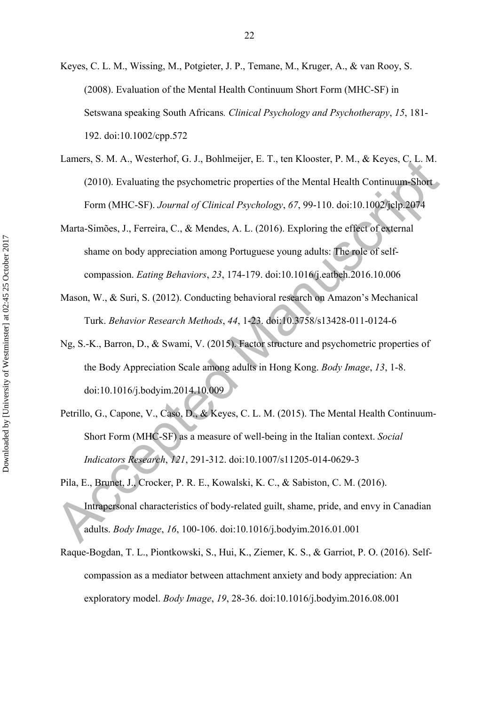- Keyes, C. L. M., Wissing, M., Potgieter, J. P., Temane, M., Kruger, A., & van Rooy, S. (2008). Evaluation of the Mental Health Continuum Short Form (MHC-SF) in Setswana speaking South Africans*. Clinical Psychology and Psychotherapy*, *15*, 181- 192. doi:10.1002/cpp.572
- Lamers, S. M. A., Westerhof, G. J., Bohlmeijer, E. T., ten Klooster, P. M., & Keyes, C. L. M. (2010). Evaluating the psychometric properties of the Mental Health Continuum-Short Form (MHC-SF). *Journal of Clinical Psychology*, *67*, 99-110. doi:10.1002/jclp.2074
- Marta-Simões, J., Ferreira, C., & Mendes, A. L. (2016). Exploring the effect of external shame on body appreciation among Portuguese young adults: The role of selfcompassion. *Eating Behaviors*, *23*, 174-179. doi:10.1016/j.eatbeh.2016.10.006
- Mason, W., & Suri, S. (2012). Conducting behavioral research on Amazon's Mechanical Turk. *Behavior Research Methods*, *44*, 1-23. doi:10.3758/s13428-011-0124-6
- Ng, S.-K., Barron, D., & Swami, V. (2015). Factor structure and psychometric properties of the Body Appreciation Scale among adults in Hong Kong. *Body Image*, *13*, 1-8. doi:10.1016/j.bodyim.2014.10.009
- Petrillo, G., Capone, V., Caso, D., & Keyes, C. L. M. (2015). The Mental Health Continuum-Short Form (MHC-SF) as a measure of well-being in the Italian context. *Social Indicators Research*, *121*, 291-312. doi:10.1007/s11205-014-0629-3
- Lamers, S. M. A., Westernot, G. J., Bonimeijer, L. L., Ien Klooster, P. M., & Keyes, C. L. M. (2010). Fvaluating the psychometric properties of the Mental Health Continuum-Short<br>Form (MHC-SF). Journal of Clinical Psycholo Pila, E., Brunet, J., Crocker, P. R. E., Kowalski, K. C., & Sabiston, C. M. (2016). Intrapersonal characteristics of body-related guilt, shame, pride, and envy in Canadian adults. *Body Image*, *16*, 100-106. doi:10.1016/j.bodyim.2016.01.001
	- Raque-Bogdan, T. L., Piontkowski, S., Hui, K., Ziemer, K. S., & Garriot, P. O. (2016). Selfcompassion as a mediator between attachment anxiety and body appreciation: An exploratory model. *Body Image*, *19*, 28-36. doi:10.1016/j.bodyim.2016.08.001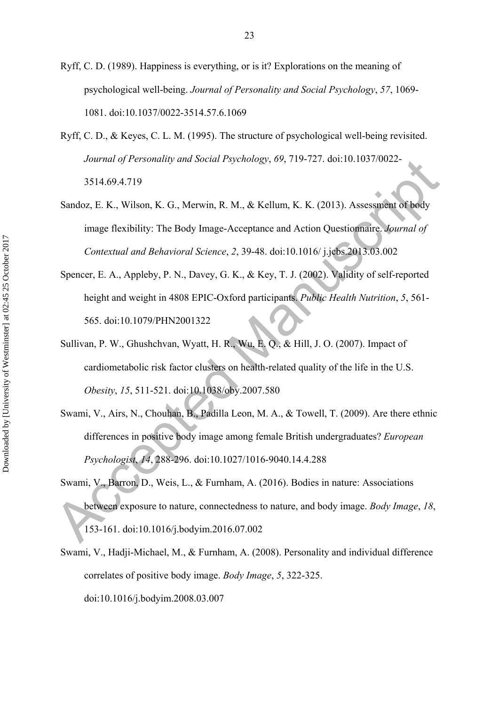- Ryff, C. D. (1989). Happiness is everything, or is it? Explorations on the meaning of psychological well-being. *Journal of Personality and Social Psychology*, *57*, 1069- 1081. doi:10.1037/0022-3514.57.6.1069
- Ryff, C. D., & Keyes, C. L. M. (1995). The structure of psychological well-being revisited. *Journal of Personality and Social Psychology*, *69*, 719-727. doi:10.1037/0022- 3514.69.4.719
- Sandoz, E. K., Wilson, K. G., Merwin, R. M., & Kellum, K. K. (2013). Assessment of body image flexibility: The Body Image-Acceptance and Action Questionnaire. *Journal of Contextual and Behavioral Science*, *2*, 39-48. doi:10.1016/ j.jcbs.2013.03.002
- Spencer, E. A., Appleby, P. N., Davey, G. K., & Key, T. J. (2002). Validity of self-reported height and weight in 4808 EPIC-Oxford participants. *Public Health Nutrition*, *5*, 561- 565. doi:10.1079/PHN2001322
- Sullivan, P. W., Ghushchvan, Wyatt, H. R., Wu, E. Q., & Hill, J. O. (2007). Impact of cardiometabolic risk factor clusters on health-related quality of the life in the U.S. *Obesity*, *15*, 511-521. doi:10.1038/oby.2007.580
- Swami, V., Airs, N., Chouhan, B., Padilla Leon, M. A., & Towell, T. (2009). Are there ethnic differences in positive body image among female British undergraduates? *European Psychologist*, *14*, 288-296. doi:10.1027/1016-9040.14.4.288
- Journal of Personality and Social Psychology, 69, 719-727, 06110.1037/0022-<br>
3514.69.4.719<br>
Sandoz, E. K., Wilson, K. G., Merwin, R. M., & Kellum, K. K. (2013). Assessment of body<br>
image flexibility: The Body Image-Accept Swami, V., Barron, D., Weis, L., & Furnham, A. (2016). Bodies in nature: Associations between exposure to nature, connectedness to nature, and body image. *Body Image*, *18*, 153-161. doi:10.1016/j.bodyim.2016.07.002
	- Swami, V., Hadji-Michael, M., & Furnham, A. (2008). Personality and individual difference correlates of positive body image. *Body Image*, *5*, 322-325. doi:10.1016/j.bodyim.2008.03.007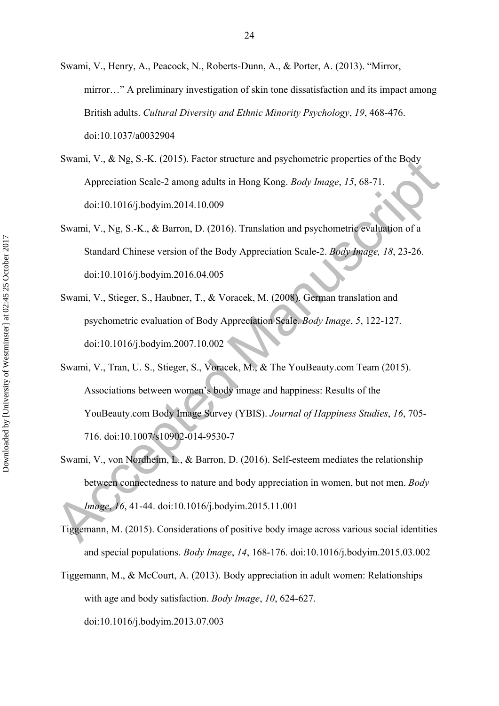- Swami, V., Henry, A., Peacock, N., Roberts-Dunn, A., & Porter, A. (2013). "Mirror, mirror…" A preliminary investigation of skin tone dissatisfaction and its impact among British adults. *Cultural Diversity and Ethnic Minority Psychology*, *19*, 468-476. doi:10.1037/a0032904
- Swami, V., & Ng, S.-K. (2015). Factor structure and psychometric properties of the Body Appreciation Scale-2 among adults in Hong Kong. *Body Image*, *15*, 68-71. doi:10.1016/j.bodyim.2014.10.009
- Swami, V., Ng, S.-K., & Barron, D. (2016). Translation and psychometric evaluation of a Standard Chinese version of the Body Appreciation Scale-2. *Body Image, 18*, 23-26. doi:10.1016/j.bodyim.2016.04.005
- Swami, V., Stieger, S., Haubner, T., & Voracek, M. (2008). German translation and psychometric evaluation of Body Appreciation Scale. *Body Image*, *5*, 122-127. doi:10.1016/j.bodyim.2007.10.002
- Swami, V., & Ng, S.-K. (2015). Factor structure and psychometric properties of the Body<br>
Appreciation Scale-2 among adults in Hong Kong. *Body Image*, 15, 68-71.<br>
doi:10.1016/j.bodyim.2014.10.009<br>
Swami, V., Ng, S.-K., & Swami, V., Tran, U. S., Stieger, S., Voracek, M., & The YouBeauty.com Team (2015). Associations between women's body image and happiness: Results of the YouBeauty.com Body Image Survey (YBIS). *Journal of Happiness Studies*, *16*, 705- 716. doi:10.1007/s10902-014-9530-7
	- Swami, V., von Nordheim, L., & Barron, D. (2016). Self-esteem mediates the relationship between connectedness to nature and body appreciation in women, but not men. *Body Image*, *16*, 41-44. doi:10.1016/j.bodyim.2015.11.001
	- Tiggemann, M. (2015). Considerations of positive body image across various social identities and special populations. *Body Image*, *14*, 168-176. doi:10.1016/j.bodyim.2015.03.002
	- Tiggemann, M., & McCourt, A. (2013). Body appreciation in adult women: Relationships with age and body satisfaction. *Body Image*, *10*, 624-627. doi:10.1016/j.bodyim.2013.07.003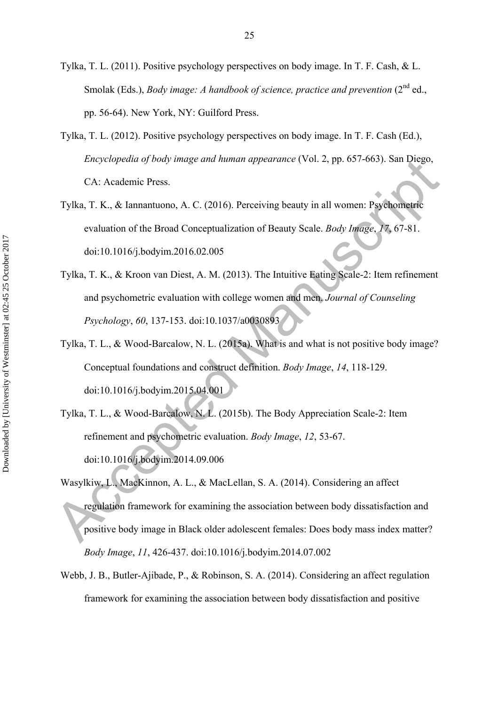- Tylka, T. L. (2011). Positive psychology perspectives on body image. In T. F. Cash, & L. Smolak (Eds.), *Body image: A handbook of science, practice and prevention* (2<sup>nd</sup> ed., pp. 56-64). New York, NY: Guilford Press.
- Tylka, T. L. (2012). Positive psychology perspectives on body image. In T. F. Cash (Ed.), *Encyclopedia of body image and human appearance* (Vol. 2, pp. 657-663). San Diego, CA: Academic Press.
- Tylka, T. K., & Iannantuono, A. C. (2016). Perceiving beauty in all women: Psychometric evaluation of the Broad Conceptualization of Beauty Scale. *Body Image*, *17*, 67-81. doi:10.1016/j.bodyim.2016.02.005
- Tylka, T. K., & Kroon van Diest, A. M. (2013). The Intuitive Eating Scale-2: Item refinement and psychometric evaluation with college women and men. *Journal of Counseling Psychology*, *60*, 137-153. doi:10.1037/a0030893
- Tylka, T. L., & Wood-Barcalow, N. L. (2015a). What is and what is not positive body image? Conceptual foundations and construct definition. *Body Image*, *14*, 118-129. doi:10.1016/j.bodyim.2015.04.001
- Tylka, T. L., & Wood-Barcalow, N. L. (2015b). The Body Appreciation Scale-2: Item refinement and psychometric evaluation. *Body Image*, *12*, 53-67. doi:10.1016/j.bodyim.2014.09.006
- Encyclopedia a) body image and human appearance (Vol. 2, pp. 657-665). San Diego,<br>
CA: Academic Press.<br>
Tylka, T. K., & Iannantuono, A. C. (2016). Perceiving beauty in all women: Psychometric<br>
evaluation of the Broad Conc Wasylkiw, L., MacKinnon, A. L., & MacLellan, S. A. (2014). Considering an affect regulation framework for examining the association between body dissatisfaction and positive body image in Black older adolescent females: Does body mass index matter? *Body Image*, *11*, 426-437. doi:10.1016/j.bodyim.2014.07.002
	- Webb, J. B., Butler-Ajibade, P., & Robinson, S. A. (2014). Considering an affect regulation framework for examining the association between body dissatisfaction and positive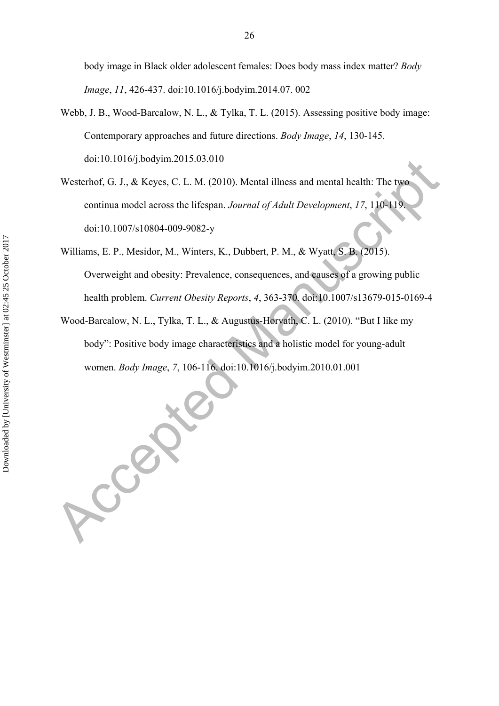body image in Black older adolescent females: Does body mass index matter? *Body Image*, *11*, 426-437. doi:10.1016/j.bodyim.2014.07. 002

- Webb, J. B., Wood-Barcalow, N. L., & Tylka, T. L. (2015). Assessing positive body image: Contemporary approaches and future directions. *Body Image*, *14*, 130-145. doi:10.1016/j.bodyim.2015.03.010
- Westerhof, G. J., & Keyes, C. L. M. (2010). Mental illness and mental health: The two continua model across the lifespan. *Journal of Adult Development*, *17*, 110-119. doi:10.1007/s10804-009-9082-y
- doi:10.1016/J.boxym.2015.03.010<br>Westerhof, G. J., & Keyes, C. L. M. (2010). Mental illness and mental health: The two<br>continua model across the lifespan. Journal of Adult Development, 17, 110-119<br>doi:10.1007/s10804-009-908 Williams, E. P., Mesidor, M., Winters, K., Dubbert, P. M., & Wyatt, S. B. (2015). Overweight and obesity: Prevalence, consequences, and causes of a growing public health problem. *Current Obesity Reports*, *4*, 363-370. doi:10.1007/s13679-015-0169-4
	- Wood-Barcalow, N. L., Tylka, T. L., & Augustus-Horvath, C. L. (2010). "But I like my body": Positive body image characteristics and a holistic model for young-adult women. *Body Image*, *7*, 106-116. doi:10.1016/j.bodyim.2010.01.001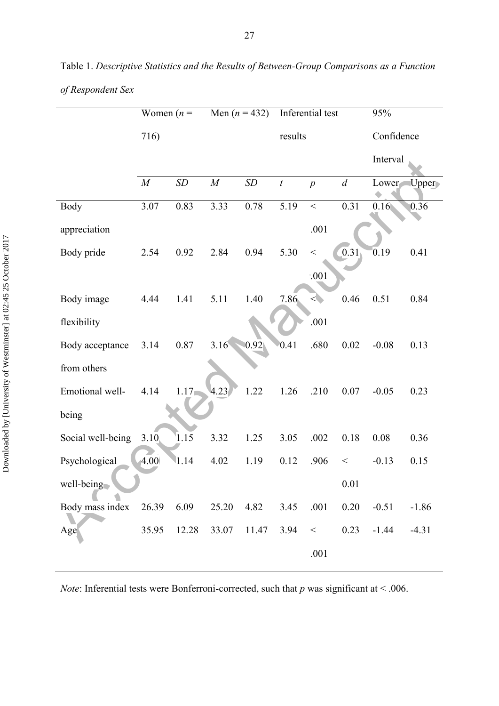|                   | Women $(n =$ |          |          | Men $(n = 432)$ |                  | Inferential test | 95%        |          |          |
|-------------------|--------------|----------|----------|-----------------|------------------|------------------|------------|----------|----------|
|                   | 716)         |          |          |                 | results          |                  | Confidence |          |          |
|                   |              |          |          |                 |                  |                  |            | Interval |          |
|                   | $\cal M$     | SD       | $\cal M$ | SD              | $\boldsymbol{t}$ | $\boldsymbol{p}$ | d          | Lower    | $U$ pper |
| <b>Body</b>       | 3.07         | 0.83     | 3.33     | 0.78            | 5.19             | $\,<$            | 0.31       | 0.16     | 0.36     |
| appreciation      |              |          |          |                 |                  | .001             |            |          |          |
| Body pride        | 2.54         | 0.92     | 2.84     | 0.94            | 5.30             | $<\,$            | [0.31]     | 0.19     | 0.41     |
|                   |              |          |          |                 |                  | $.001$           |            |          |          |
| Body image        | 4.44         | 1.41     | 5.11     | 1.40            | 7.86             | <                | 0.46       | 0.51     | 0.84     |
| flexibility       |              |          |          |                 |                  | .001             |            |          |          |
| Body acceptance   | 3.14         | 0.87     | 3.16     | 0.92            | 0.41             | .680             | 0.02       | $-0.08$  | 0.13     |
| from others       |              |          |          |                 |                  |                  |            |          |          |
| Emotional well-   | 4.14         | $1.17 -$ | 4.23     | 1.22            | 1.26             | .210             | 0.07       | $-0.05$  | 0.23     |
| being             |              |          |          |                 |                  |                  |            |          |          |
| Social well-being | 3.10         | 1.15     | 3.32     | 1.25            | 3.05             | .002             | 0.18       | 0.08     | 0.36     |
| Psychological     | 4.00         | 1.14     | 4.02     | 1.19            | 0.12             | .906             | $<\,$      | $-0.13$  | 0.15     |
| well-being        |              |          |          |                 |                  |                  | 0.01       |          |          |
| Body mass index   | 26.39        | 6.09     | 25.20    | 4.82            | 3.45             | .001             | 0.20       | $-0.51$  | $-1.86$  |
| Age               | 35.95        | 12.28    | 33.07    | 11.47           | 3.94             | $<\,$            | 0.23       | $-1.44$  | $-4.31$  |
|                   |              |          |          |                 |                  | .001             |            |          |          |

Table 1. *Descriptive Statistics and the Results of Between-Group Comparisons as a Function of Respondent Sex* 

*Note*: Inferential tests were Bonferroni-corrected, such that *p* was significant at < .006.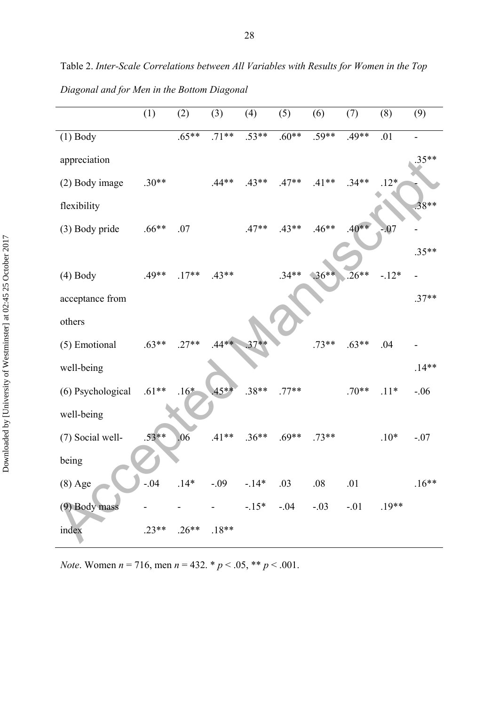Table 2. *Inter-Scale Correlations between All Variables with Results for Women in the Top Diagonal and for Men in the Bottom Diagonal* 

|                   | (1)     | (2)     | (3)     | (4)     | (5)     | (6)     | (7)     | (8)     | (9)     |
|-------------------|---------|---------|---------|---------|---------|---------|---------|---------|---------|
| $(1)$ Body        |         | $.65**$ | $.71**$ | $.53**$ | $.60**$ | $.59**$ | $.49**$ | .01     |         |
| appreciation      |         |         |         |         |         |         |         |         | 35**    |
| (2) Body image    | $.30**$ |         | $.44**$ | $.43**$ | $.47**$ | $.41**$ | $.34**$ | $.12*$  |         |
| flexibility       |         |         |         |         |         |         |         |         | $.38**$ |
| (3) Body pride    | $.66**$ | .07     |         | $.47**$ | $.43**$ | $.46**$ | $.40**$ | $-07$   |         |
|                   |         |         |         |         |         |         |         |         | $.35**$ |
| $(4)$ Body        | $.49**$ | $.17**$ | $.43**$ |         | $.34**$ | $.36**$ | 26**    | $-.12*$ |         |
| acceptance from   |         |         |         |         |         |         |         |         | $.37**$ |
| others            |         |         |         |         |         |         |         |         |         |
| (5) Emotional     | $.63**$ | $.27**$ | $.44**$ | $37**$  |         | $.73**$ | $.63**$ | .04     |         |
| well-being        |         |         |         |         |         |         |         |         | $.14**$ |
| (6) Psychological | $.61**$ | $.16*$  | $45**$  | $.38**$ | $.77**$ |         | $.70**$ | $.11*$  | $-.06$  |
| well-being        |         |         |         |         |         |         |         |         |         |
| (7) Social well-  | $.53**$ | .06     | $.41**$ | $.36**$ | $.69**$ | $.73**$ |         | $.10*$  | $-.07$  |
| being             |         |         |         |         |         |         |         |         |         |
| $(8)$ Age         | $-.04$  | $.14*$  | $-.09$  | $-14*$  | .03     | .08     | .01     |         | $.16**$ |
| (9) Body mass     |         |         |         | $-15*$  | $-.04$  | $-.03$  | $-.01$  | $.19**$ |         |
| index             | $.23**$ | $.26**$ | $.18**$ |         |         |         |         |         |         |

*Note*. Women *n* = 716, men *n* = 432. \* *p* < .05, \*\* *p* < .001.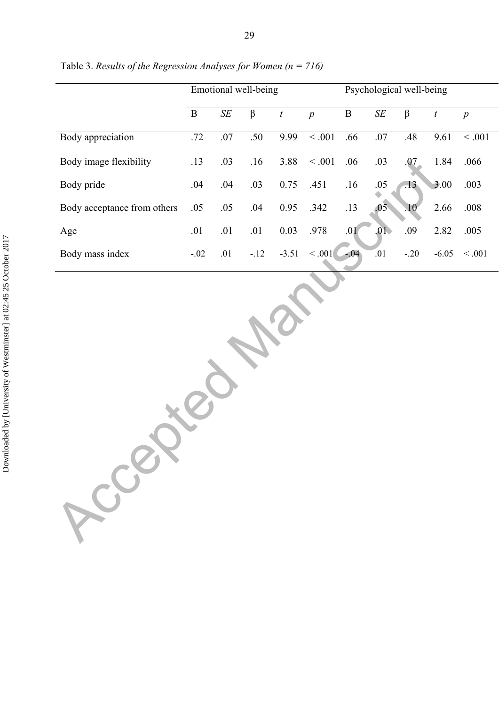|                             | Emotional well-being |           |         |                  |                | Psychological well-being |           |         |                  |                  |  |
|-----------------------------|----------------------|-----------|---------|------------------|----------------|--------------------------|-----------|---------|------------------|------------------|--|
|                             | $\, {\bf B}$         | $\cal SE$ | $\beta$ | $\boldsymbol{t}$ | $\overline{p}$ | $\, {\bf B}$             | $\cal SE$ | $\beta$ | $\boldsymbol{t}$ | $\boldsymbol{p}$ |  |
| <b>Body</b> appreciation    | $.72\,$              | $.07\,$   | .50     | 9.99             | $\leq .001$    | .66                      | $.07\,$   | $.48$   | 9.61             | $\leq .001$      |  |
| Body image flexibility      | .13                  | .03       | .16     | 3.88             | $\leq .001$    | .06                      | .03       | .07     | 1.84             | .066             |  |
| Body pride                  | .04                  | .04       | .03     | 0.75             | .451           | .16                      | $.05$     | .13     | 3.00             | .003             |  |
| Body acceptance from others | .05                  | .05       | .04     | 0.95             | .342           | .13                      | .05       | $10\,$  | 2.66             | $.008\,$         |  |
| Age                         | .01                  | .01       | .01     | $0.03\,$         | .978           | .01                      | .01       | .09     | 2.82             | .005             |  |
| Body mass index             | $-.02$               | $.01\,$   | $-.12$  | $-3.51$          | $\leq .001$    | $-04$                    | .01       | $-.20$  | $-6.05$          | $<.001$          |  |
| Rocal                       |                      |           |         |                  |                |                          |           |         |                  |                  |  |

Table 3. *Results of the Regression Analyses for Women (n = 716)*